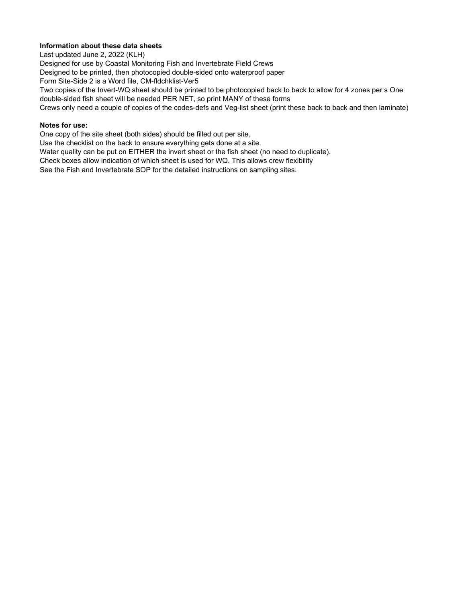# **Information about these data sheets**

Last updated June 2, 2022 (KLH)

Designed for use by Coastal Monitoring Fish and Invertebrate Field Crews

Designed to be printed, then photocopied double-sided onto waterproof paper

Form Site-Side 2 is a Word file, CM-fldchklist-Ver5

Two copies of the Invert-WQ sheet should be printed to be photocopied back to back to allow for 4 zones per s One double-sided fish sheet will be needed PER NET, so print MANY of these forms

Crews only need a couple of copies of the codes-defs and Veg-list sheet (print these back to back and then laminate)

## **Notes for use:**

One copy of the site sheet (both sides) should be filled out per site.

Use the checklist on the back to ensure everything gets done at a site.

Water quality can be put on EITHER the invert sheet or the fish sheet (no need to duplicate).

Check boxes allow indication of which sheet is used for WQ. This allows crew flexibility

See the Fish and Invertebrate SOP for the detailed instructions on sampling sites.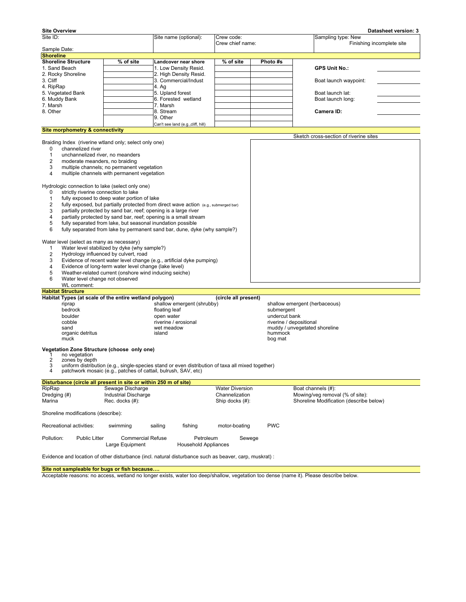| <b>Site Overview</b>                                             |                                                        |                                                                                                   |                        |                         | Datasheet version: 3                    |
|------------------------------------------------------------------|--------------------------------------------------------|---------------------------------------------------------------------------------------------------|------------------------|-------------------------|-----------------------------------------|
| Site ID:                                                         |                                                        | Site name (optional):                                                                             | Crew code:             |                         | Sampling type: New                      |
| Sample Date:                                                     |                                                        |                                                                                                   | Crew chief name:       |                         | Finishing incomplete site               |
| <b>Shoreline</b>                                                 |                                                        |                                                                                                   |                        |                         |                                         |
| <b>Shoreline Structure</b>                                       | % of site                                              | Landcover near shore                                                                              | % of site              | Photo #s                |                                         |
| 1. Sand Beach                                                    |                                                        | 1. Low Density Resid.                                                                             |                        |                         | <b>GPS Unit No.:</b>                    |
| 2. Rocky Shoreline                                               |                                                        | 2. High Density Resid.                                                                            |                        |                         |                                         |
| 3. Cliff                                                         |                                                        | 3. Commercial/Indust                                                                              |                        |                         | Boat launch waypoint:                   |
| 4. RipRap                                                        |                                                        | 4. Ag                                                                                             |                        |                         |                                         |
| 5. Vegetated Bank                                                |                                                        | 5. Upland forest                                                                                  |                        |                         | Boat launch lat:                        |
| 6. Muddy Bank                                                    |                                                        | 6. Forested wetland                                                                               |                        |                         | Boat launch long:                       |
| 7. Marsh                                                         |                                                        | 7. Marsh                                                                                          |                        |                         |                                         |
| 8. Other                                                         |                                                        | 8. Stream                                                                                         |                        |                         | Camera ID:                              |
|                                                                  |                                                        | 9. Other                                                                                          |                        |                         |                                         |
| <b>Site morphometry &amp; connectivity</b>                       |                                                        | Can't see land (e.g., cliff, hill)                                                                |                        |                         |                                         |
|                                                                  |                                                        |                                                                                                   |                        |                         | Sketch cross-section of riverine sites  |
| Braiding Index (riverine wtland only; select only one)           |                                                        |                                                                                                   |                        |                         |                                         |
| channelized river<br>0                                           |                                                        |                                                                                                   |                        |                         |                                         |
| unchannelized river, no meanders<br>1                            |                                                        |                                                                                                   |                        |                         |                                         |
| $\overline{2}$<br>moderate meanders, no braiding                 |                                                        |                                                                                                   |                        |                         |                                         |
| 3                                                                | multiple channels; no permanent vegetation             |                                                                                                   |                        |                         |                                         |
| 4                                                                | multiple channels with permanent vegetation            |                                                                                                   |                        |                         |                                         |
|                                                                  |                                                        |                                                                                                   |                        |                         |                                         |
| Hydrologic connection to lake (select only one)                  |                                                        |                                                                                                   |                        |                         |                                         |
| strictly riverine connection to lake<br>0                        |                                                        |                                                                                                   |                        |                         |                                         |
| $\mathbf{1}$                                                     | fully exposed to deep water portion of lake            |                                                                                                   |                        |                         |                                         |
| 2                                                                |                                                        | fully exposed, but partially protected from direct wave action (e.g., submerged bar)              |                        |                         |                                         |
| 3                                                                |                                                        | partially protected by sand bar, reef; opening is a large river                                   |                        |                         |                                         |
| 4                                                                |                                                        | partially protected by sand bar, reef; opening is a small stream                                  |                        |                         |                                         |
| 5                                                                |                                                        | fully separated from lake, but seasonal inundation possible                                       |                        |                         |                                         |
| 6                                                                |                                                        | fully separated from lake by permanent sand bar, dune, dyke (why sample?)                         |                        |                         |                                         |
|                                                                  |                                                        |                                                                                                   |                        |                         |                                         |
| Water level (select as many as necessary)                        | Water level stabilized by dyke (why sample?)           |                                                                                                   |                        |                         |                                         |
| 1<br>2                                                           | Hydrology influenced by culvert, road                  |                                                                                                   |                        |                         |                                         |
| 3                                                                |                                                        | Evidence of recent water level change (e.g., artificial dyke pumping)                             |                        |                         |                                         |
| 4                                                                | Evidence of long-term water level change (lake level)  |                                                                                                   |                        |                         |                                         |
| 5                                                                | Weather-related current (onshore wind inducing seiche) |                                                                                                   |                        |                         |                                         |
| 6<br>Water level change not observed                             |                                                        |                                                                                                   |                        |                         |                                         |
| WL comment:                                                      |                                                        |                                                                                                   |                        |                         |                                         |
| <b>Habitat Structure</b>                                         |                                                        |                                                                                                   |                        |                         |                                         |
| Habitat Types (at scale of the entire wetland polygon)           |                                                        |                                                                                                   | (circle all present)   |                         |                                         |
| riprap                                                           |                                                        | shallow emergent (shrubby)                                                                        |                        |                         | shallow emergent (herbaceous)           |
| bedrock                                                          |                                                        | floating leaf                                                                                     |                        | submergent              |                                         |
| boulder                                                          |                                                        | open water                                                                                        |                        | undercut bank           |                                         |
| cobble                                                           |                                                        | riverine / erosional                                                                              |                        | riverine / depositional |                                         |
| sand                                                             |                                                        | wet meadow                                                                                        |                        |                         | muddy / unvegetated shoreline           |
| organic detritus                                                 |                                                        | island                                                                                            |                        | hummock                 |                                         |
| muck                                                             |                                                        |                                                                                                   |                        | bog mat                 |                                         |
| Vegetation Zone Structure (choose only one)                      |                                                        |                                                                                                   |                        |                         |                                         |
| no vegetation<br>1                                               |                                                        |                                                                                                   |                        |                         |                                         |
| $\overline{2}$<br>zones by depth                                 |                                                        |                                                                                                   |                        |                         |                                         |
| 3                                                                |                                                        | uniform distribution (e.g., single-species stand or even distribution of taxa all mixed together) |                        |                         |                                         |
| 4                                                                |                                                        | patchwork mosaic (e.g., patches of cattail, bulrush, SAV, etc)                                    |                        |                         |                                         |
| Disturbance (circle all present in site or within 250 m of site) |                                                        |                                                                                                   |                        |                         |                                         |
| RipRap                                                           | Sewage Discharge                                       |                                                                                                   | <b>Water Diversion</b> |                         | Boat channels (#):                      |
| Dredging (#)                                                     | <b>Industrial Discharge</b>                            |                                                                                                   | Channelization         |                         | Mowing/veg removal (% of site):         |
| Marina                                                           | Rec. docks (#):                                        |                                                                                                   | Ship docks (#):        |                         | Shoreline Modification (describe below) |
| Shoreline modifications (describe):                              |                                                        |                                                                                                   |                        |                         |                                         |
|                                                                  |                                                        |                                                                                                   |                        |                         |                                         |
| Recreational activities:                                         | swimming                                               | sailing<br>fishing                                                                                | motor-boating          | <b>PWC</b>              |                                         |
| Pollution:<br><b>Public Litter</b>                               | <b>Commercial Refuse</b><br>Large Equipment            | Petroleum<br><b>Household Appliances</b>                                                          | Sewege                 |                         |                                         |

Evidence and location of other disturbance (incl. natural disturbance such as beaver, carp, muskrat) :

**Site not sampleable for bugs or fish because….**

Acceptable reasons: no access, wetland no longer exists, water too deep/shallow, vegetation too dense (name it). Please describe below.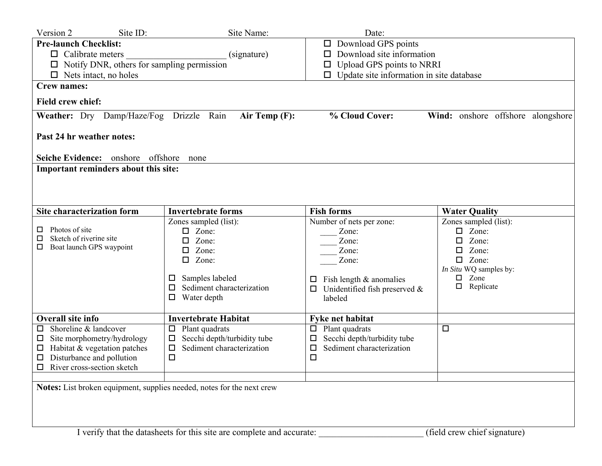| Version 2<br>Site ID:                                                                                 | Site Name:                                                             | Date:                                              |                                   |  |  |  |  |  |  |  |
|-------------------------------------------------------------------------------------------------------|------------------------------------------------------------------------|----------------------------------------------------|-----------------------------------|--|--|--|--|--|--|--|
| <b>Pre-launch Checklist:</b>                                                                          |                                                                        | Download GPS points<br>Ц                           |                                   |  |  |  |  |  |  |  |
| $\Box$ Calibrate meters                                                                               | (signature)                                                            | Download site information<br>□                     |                                   |  |  |  |  |  |  |  |
| Notify DNR, others for sampling permission                                                            |                                                                        | Upload GPS points to NRRI<br>$\Box$                |                                   |  |  |  |  |  |  |  |
| Nets intact, no holes<br>0                                                                            |                                                                        | Update site information in site database<br>$\Box$ |                                   |  |  |  |  |  |  |  |
| <b>Crew names:</b>                                                                                    |                                                                        |                                                    |                                   |  |  |  |  |  |  |  |
| <b>Field crew chief:</b>                                                                              |                                                                        |                                                    |                                   |  |  |  |  |  |  |  |
| Weather: Dry Damp/Haze/Fog Drizzle Rain                                                               | Air Temp (F):                                                          | % Cloud Cover:                                     | Wind: onshore offshore alongshore |  |  |  |  |  |  |  |
| Past 24 hr weather notes:                                                                             |                                                                        |                                                    |                                   |  |  |  |  |  |  |  |
| Seiche Evidence: onshore offshore                                                                     | none                                                                   |                                                    |                                   |  |  |  |  |  |  |  |
| Important reminders about this site:                                                                  |                                                                        |                                                    |                                   |  |  |  |  |  |  |  |
|                                                                                                       |                                                                        |                                                    |                                   |  |  |  |  |  |  |  |
|                                                                                                       |                                                                        |                                                    |                                   |  |  |  |  |  |  |  |
|                                                                                                       |                                                                        |                                                    |                                   |  |  |  |  |  |  |  |
| Site characterization form                                                                            | <b>Invertebrate forms</b>                                              | <b>Fish forms</b>                                  | <b>Water Quality</b>              |  |  |  |  |  |  |  |
|                                                                                                       | Zones sampled (list):                                                  | Number of nets per zone:                           | Zones sampled (list):             |  |  |  |  |  |  |  |
| Photos of site<br>ш<br>Sketch of riverine site                                                        | Zone:                                                                  | Zone:                                              | Zone:                             |  |  |  |  |  |  |  |
| ⊔<br>Boat launch GPS waypoint                                                                         | Zone:<br>$\Box$                                                        | Zone:                                              | Zone:<br>□                        |  |  |  |  |  |  |  |
|                                                                                                       | Zone:<br>$\Box$                                                        | Zone:                                              | Zone:<br>□                        |  |  |  |  |  |  |  |
|                                                                                                       | Zone:<br>$\Box$                                                        | Zone:                                              | Zone:<br>$\Box$                   |  |  |  |  |  |  |  |
|                                                                                                       |                                                                        |                                                    | In Situ WQ samples by:            |  |  |  |  |  |  |  |
|                                                                                                       | Samples labeled<br>ப                                                   | Fish length & anomalies<br>⊔                       | Zone<br>◻                         |  |  |  |  |  |  |  |
|                                                                                                       | Sediment characterization<br>□                                         | Unidentified fish preserved &<br>□                 | Replicate<br>$\Box$               |  |  |  |  |  |  |  |
|                                                                                                       | Water depth<br>◻                                                       | labeled                                            |                                   |  |  |  |  |  |  |  |
| <b>Overall site info</b>                                                                              | <b>Invertebrate Habitat</b>                                            | <b>Fyke net habitat</b>                            |                                   |  |  |  |  |  |  |  |
| Shoreline & landcover<br>□                                                                            | Plant quadrats<br>$\Box$                                               | Plant quadrats<br>$\Box$                           | $\Box$                            |  |  |  |  |  |  |  |
| Site morphometry/hydrology<br>$\Box$                                                                  | Secchi depth/turbidity tube<br>$\Box$                                  | Secchi depth/turbidity tube<br>□                   |                                   |  |  |  |  |  |  |  |
| Habitat & vegetation patches<br>$\Box$                                                                | Sediment characterization<br>$\Box$                                    | Sediment characterization<br>□                     |                                   |  |  |  |  |  |  |  |
| Disturbance and pollution                                                                             | $\Box$                                                                 | □                                                  |                                   |  |  |  |  |  |  |  |
| $\Box$ River cross-section sketch                                                                     |                                                                        |                                                    |                                   |  |  |  |  |  |  |  |
|                                                                                                       |                                                                        |                                                    |                                   |  |  |  |  |  |  |  |
|                                                                                                       | Notes: List broken equipment, supplies needed, notes for the next crew |                                                    |                                   |  |  |  |  |  |  |  |
|                                                                                                       |                                                                        |                                                    |                                   |  |  |  |  |  |  |  |
|                                                                                                       |                                                                        |                                                    |                                   |  |  |  |  |  |  |  |
|                                                                                                       |                                                                        |                                                    |                                   |  |  |  |  |  |  |  |
| (field crew chief signature)<br>I verify that the datasheets for this site are complete and accurate: |                                                                        |                                                    |                                   |  |  |  |  |  |  |  |
|                                                                                                       |                                                                        |                                                    |                                   |  |  |  |  |  |  |  |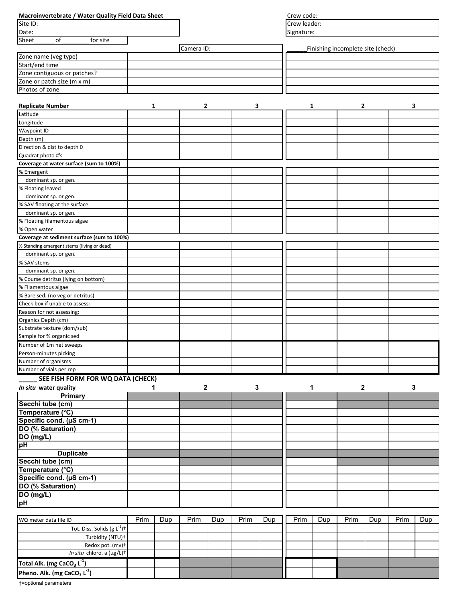|                                                                   | Macroinvertebrate / Water Quality Field Data Sheet |              |            |     |      |     |                                   |     |      |     | Crew code: |     |  |  |  |  |  |
|-------------------------------------------------------------------|----------------------------------------------------|--------------|------------|-----|------|-----|-----------------------------------|-----|------|-----|------------|-----|--|--|--|--|--|
| Site ID:                                                          |                                                    | Crew leader: |            |     |      |     |                                   |     |      |     |            |     |  |  |  |  |  |
| Date:                                                             |                                                    |              |            |     |      |     | Signature:                        |     |      |     |            |     |  |  |  |  |  |
| <b>Sheet</b><br>of<br>for site                                    |                                                    |              |            |     |      |     |                                   |     |      |     |            |     |  |  |  |  |  |
|                                                                   |                                                    |              | Camera ID: |     |      |     | Finishing incomplete site (check) |     |      |     |            |     |  |  |  |  |  |
| Zone name (veg type)<br>Start/end time                            |                                                    |              |            |     |      |     |                                   |     |      |     |            |     |  |  |  |  |  |
|                                                                   |                                                    |              |            |     |      |     |                                   |     |      |     |            |     |  |  |  |  |  |
| Zone contiguous or patches?                                       |                                                    |              |            |     |      |     |                                   |     |      |     |            |     |  |  |  |  |  |
| Zone or patch size (m x m)                                        |                                                    |              |            |     |      |     |                                   |     |      |     |            |     |  |  |  |  |  |
| Photos of zone                                                    |                                                    |              |            |     |      |     |                                   |     |      |     |            |     |  |  |  |  |  |
|                                                                   |                                                    |              |            |     |      |     |                                   |     |      |     |            |     |  |  |  |  |  |
| <b>Replicate Number</b>                                           | 1                                                  |              | 2          |     | 3    |     |                                   | 1   | 2    |     | 3          |     |  |  |  |  |  |
| Latitude                                                          |                                                    |              |            |     |      |     |                                   |     |      |     |            |     |  |  |  |  |  |
| Longitude                                                         |                                                    |              |            |     |      |     |                                   |     |      |     |            |     |  |  |  |  |  |
| Waypoint ID                                                       |                                                    |              |            |     |      |     |                                   |     |      |     |            |     |  |  |  |  |  |
| Depth (m)                                                         |                                                    |              |            |     |      |     |                                   |     |      |     |            |     |  |  |  |  |  |
| Direction & dist to depth 0                                       |                                                    |              |            |     |      |     |                                   |     |      |     |            |     |  |  |  |  |  |
| Quadrat photo #'s                                                 |                                                    |              |            |     |      |     |                                   |     |      |     |            |     |  |  |  |  |  |
| Coverage at water surface (sum to 100%)                           |                                                    |              |            |     |      |     |                                   |     |      |     |            |     |  |  |  |  |  |
| % Emergent                                                        |                                                    |              |            |     |      |     |                                   |     |      |     |            |     |  |  |  |  |  |
| dominant sp. or gen.                                              |                                                    |              |            |     |      |     |                                   |     |      |     |            |     |  |  |  |  |  |
| % Floating leaved                                                 |                                                    |              |            |     |      |     |                                   |     |      |     |            |     |  |  |  |  |  |
| dominant sp. or gen.                                              |                                                    |              |            |     |      |     |                                   |     |      |     |            |     |  |  |  |  |  |
| % SAV floating at the surface                                     |                                                    |              |            |     |      |     |                                   |     |      |     |            |     |  |  |  |  |  |
| dominant sp. or gen.                                              |                                                    |              |            |     |      |     |                                   |     |      |     |            |     |  |  |  |  |  |
| % Floating filamentous algae                                      |                                                    |              |            |     |      |     |                                   |     |      |     |            |     |  |  |  |  |  |
| % Open water                                                      |                                                    |              |            |     |      |     |                                   |     |      |     |            |     |  |  |  |  |  |
| Coverage at sediment surface (sum to 100%)                        |                                                    |              |            |     |      |     |                                   |     |      |     |            |     |  |  |  |  |  |
| % Standing emergent stems (living or dead)                        |                                                    |              |            |     |      |     |                                   |     |      |     |            |     |  |  |  |  |  |
| dominant sp. or gen.                                              |                                                    |              |            |     |      |     |                                   |     |      |     |            |     |  |  |  |  |  |
| % SAV stems                                                       |                                                    |              |            |     |      |     |                                   |     |      |     |            |     |  |  |  |  |  |
| dominant sp. or gen.                                              |                                                    |              |            |     |      |     |                                   |     |      |     |            |     |  |  |  |  |  |
| % Course detritus (lying on bottom)                               |                                                    |              |            |     |      |     |                                   |     |      |     |            |     |  |  |  |  |  |
| % Filamentous algae                                               |                                                    |              |            |     |      |     |                                   |     |      |     |            |     |  |  |  |  |  |
| % Bare sed. (no veg or detritus)                                  |                                                    |              |            |     |      |     |                                   |     |      |     |            |     |  |  |  |  |  |
| Check box if unable to assess:                                    |                                                    |              |            |     |      |     |                                   |     |      |     |            |     |  |  |  |  |  |
| Reason for not assessing:                                         |                                                    |              |            |     |      |     |                                   |     |      |     |            |     |  |  |  |  |  |
| Organics Depth (cm)<br>Substrate texture (dom/sub)                |                                                    |              |            |     |      |     |                                   |     |      |     |            |     |  |  |  |  |  |
|                                                                   |                                                    |              |            |     |      |     |                                   |     |      |     |            |     |  |  |  |  |  |
| Sample for % organic sed                                          |                                                    |              |            |     |      |     |                                   |     |      |     |            |     |  |  |  |  |  |
| Number of 1m net sweeps                                           |                                                    |              |            |     |      |     |                                   |     |      |     |            |     |  |  |  |  |  |
| Person-minutes picking                                            |                                                    |              |            |     |      |     |                                   |     |      |     |            |     |  |  |  |  |  |
| Number of organisms                                               |                                                    |              |            |     |      |     |                                   |     |      |     |            |     |  |  |  |  |  |
| Number of vials per rep                                           |                                                    |              |            |     |      |     |                                   |     |      |     |            |     |  |  |  |  |  |
| SEE FISH FORM FOR WQ DATA (CHECK)                                 |                                                    |              |            |     |      |     |                                   |     |      |     |            |     |  |  |  |  |  |
| In situ water quality                                             | 1                                                  |              | 2          |     | 3    |     |                                   | 1   | 2    |     | 3          |     |  |  |  |  |  |
| Primary                                                           |                                                    |              |            |     |      |     |                                   |     |      |     |            |     |  |  |  |  |  |
| Secchi tube (cm)                                                  |                                                    |              |            |     |      |     |                                   |     |      |     |            |     |  |  |  |  |  |
|                                                                   |                                                    |              |            |     |      |     |                                   |     |      |     |            |     |  |  |  |  |  |
| Temperature (°C)<br>Specific cond. (µS cm-1)<br>DO (% Saturation) |                                                    |              |            |     |      |     |                                   |     |      |     |            |     |  |  |  |  |  |
|                                                                   |                                                    |              |            |     |      |     |                                   |     |      |     |            |     |  |  |  |  |  |
| DO (mg/L)<br>DO (mg/L)                                            |                                                    |              |            |     |      |     |                                   |     |      |     |            |     |  |  |  |  |  |
|                                                                   |                                                    |              |            |     |      |     |                                   |     |      |     |            |     |  |  |  |  |  |
| <b>Duplicate</b>                                                  |                                                    |              |            |     |      |     |                                   |     |      |     |            |     |  |  |  |  |  |
|                                                                   |                                                    |              |            |     |      |     |                                   |     |      |     |            |     |  |  |  |  |  |
| Secchi tube (cm)<br>Temperature (°C)                              |                                                    |              |            |     |      |     |                                   |     |      |     |            |     |  |  |  |  |  |
| Specific cond. (µS cm-1)                                          |                                                    |              |            |     |      |     |                                   |     |      |     |            |     |  |  |  |  |  |
| DO (% Saturation)                                                 |                                                    |              |            |     |      |     |                                   |     |      |     |            |     |  |  |  |  |  |
|                                                                   |                                                    |              |            |     |      |     |                                   |     |      |     |            |     |  |  |  |  |  |
| DO (mg/L)<br>pH                                                   |                                                    |              |            |     |      |     |                                   |     |      |     |            |     |  |  |  |  |  |
|                                                                   |                                                    |              |            |     |      |     |                                   |     |      |     |            |     |  |  |  |  |  |
| WQ meter data file ID                                             | Prim                                               | Dup          | Prim       | Dup | Prim | Dup | Prim                              | Dup | Prim | Dup | Prim       | Dup |  |  |  |  |  |
| Tot. Diss. Solids (g $L^{-1}$ ) <sup>+</sup>                      |                                                    |              |            |     |      |     |                                   |     |      |     |            |     |  |  |  |  |  |
| Turbidity (NTU)+                                                  |                                                    |              |            |     |      |     |                                   |     |      |     |            |     |  |  |  |  |  |
| Redox pot. (mv)+                                                  |                                                    |              |            |     |      |     |                                   |     |      |     |            |     |  |  |  |  |  |
| In situ chloro. a (µg/L)+                                         |                                                    |              |            |     |      |     |                                   |     |      |     |            |     |  |  |  |  |  |
|                                                                   |                                                    |              |            |     |      |     |                                   |     |      |     |            |     |  |  |  |  |  |
| Total Alk. (mg CaCO <sub>3</sub> L <sup>-1</sup> )                |                                                    |              |            |     |      |     |                                   |     |      |     |            |     |  |  |  |  |  |

Ш

ı

l.

†=optional parameters

Pheno. Alk. (mg CaCO<sub>3</sub> L<sup>-1</sup>)

 $\overline{\phantom{a}}$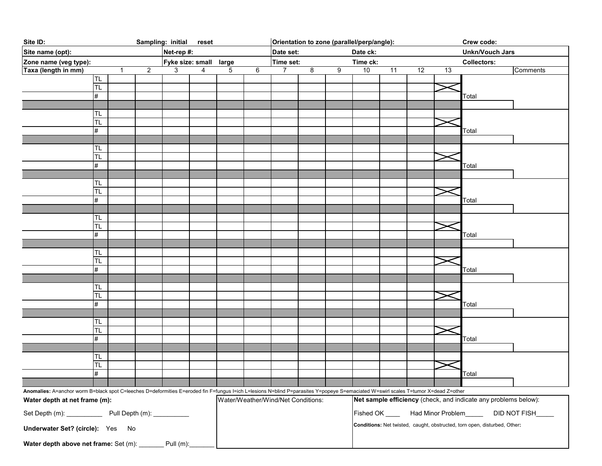| Site ID:<br>Sampling: initial<br>reset                                                                                                                                             |            |    |                |                  |                                    | Orientation to zone (parallel/perp/angle): |          |   |   |                                                         |                        |                                                                 | Crew code: |                    |                                                                           |          |
|------------------------------------------------------------------------------------------------------------------------------------------------------------------------------------|------------|----|----------------|------------------|------------------------------------|--------------------------------------------|----------|---|---|---------------------------------------------------------|------------------------|-----------------------------------------------------------------|------------|--------------------|---------------------------------------------------------------------------|----------|
| Site name (opt):<br>Net-rep #:                                                                                                                                                     |            |    | Date set:      |                  |                                    |                                            | Date ck: |   |   |                                                         | <b>Unkn/Vouch Jars</b> |                                                                 |            |                    |                                                                           |          |
| Zone name (veg type):                                                                                                                                                              |            |    |                | Fyke size: small |                                    | Time set:<br>large                         |          |   |   | Time ck:                                                |                        |                                                                 |            | <b>Collectors:</b> |                                                                           |          |
| Taxa (length in mm)                                                                                                                                                                |            | -1 | $\overline{2}$ | 3                | 4                                  | 5                                          | 6        | 7 | 8 | 9                                                       | 10                     | 11                                                              | 12         | 13                 |                                                                           | Comments |
|                                                                                                                                                                                    | TL.        |    |                |                  |                                    |                                            |          |   |   |                                                         |                        |                                                                 |            |                    |                                                                           |          |
|                                                                                                                                                                                    | TL         |    |                |                  |                                    |                                            |          |   |   |                                                         |                        |                                                                 |            |                    |                                                                           |          |
|                                                                                                                                                                                    | #          |    |                |                  |                                    |                                            |          |   |   |                                                         |                        |                                                                 |            |                    | Total                                                                     |          |
|                                                                                                                                                                                    |            |    |                |                  |                                    |                                            |          |   |   |                                                         |                        |                                                                 |            |                    |                                                                           |          |
|                                                                                                                                                                                    | TL         |    |                |                  |                                    |                                            |          |   |   |                                                         |                        |                                                                 |            |                    |                                                                           |          |
|                                                                                                                                                                                    | TL<br>#    |    |                |                  |                                    |                                            |          |   |   |                                                         |                        |                                                                 |            |                    | Total                                                                     |          |
|                                                                                                                                                                                    |            |    |                |                  |                                    |                                            |          |   |   |                                                         |                        |                                                                 |            |                    |                                                                           |          |
|                                                                                                                                                                                    | TL         |    |                |                  |                                    |                                            |          |   |   |                                                         |                        |                                                                 |            |                    |                                                                           |          |
|                                                                                                                                                                                    | TL         |    |                |                  |                                    |                                            |          |   |   |                                                         |                        |                                                                 |            |                    |                                                                           |          |
|                                                                                                                                                                                    | $\#$       |    |                |                  |                                    |                                            |          |   |   |                                                         |                        |                                                                 |            |                    | Total                                                                     |          |
|                                                                                                                                                                                    |            |    |                |                  |                                    |                                            |          |   |   |                                                         |                        |                                                                 |            |                    |                                                                           |          |
|                                                                                                                                                                                    | TL         |    |                |                  |                                    |                                            |          |   |   |                                                         |                        |                                                                 |            |                    |                                                                           |          |
|                                                                                                                                                                                    | TL         |    |                |                  |                                    |                                            |          |   |   |                                                         |                        |                                                                 |            |                    |                                                                           |          |
|                                                                                                                                                                                    | #          |    |                |                  |                                    |                                            |          |   |   |                                                         |                        |                                                                 |            |                    | Total                                                                     |          |
|                                                                                                                                                                                    |            |    |                |                  |                                    |                                            |          |   |   |                                                         |                        |                                                                 |            |                    |                                                                           |          |
|                                                                                                                                                                                    | TL         |    |                |                  |                                    |                                            |          |   |   |                                                         |                        |                                                                 |            |                    |                                                                           |          |
|                                                                                                                                                                                    | TL<br>$\#$ |    |                |                  |                                    |                                            |          |   |   |                                                         |                        |                                                                 |            |                    |                                                                           |          |
|                                                                                                                                                                                    |            |    |                |                  |                                    |                                            |          |   |   |                                                         |                        |                                                                 |            |                    | Total                                                                     |          |
|                                                                                                                                                                                    | TL         |    |                |                  |                                    |                                            |          |   |   |                                                         |                        |                                                                 |            |                    |                                                                           |          |
|                                                                                                                                                                                    | TL         |    |                |                  |                                    |                                            |          |   |   |                                                         |                        |                                                                 |            |                    |                                                                           |          |
|                                                                                                                                                                                    | #          |    |                |                  |                                    |                                            |          |   |   |                                                         |                        |                                                                 |            |                    | Total                                                                     |          |
|                                                                                                                                                                                    |            |    |                |                  |                                    |                                            |          |   |   |                                                         |                        |                                                                 |            |                    |                                                                           |          |
|                                                                                                                                                                                    | TL         |    |                |                  |                                    |                                            |          |   |   |                                                         |                        |                                                                 |            |                    |                                                                           |          |
|                                                                                                                                                                                    | TL         |    |                |                  |                                    |                                            |          |   |   |                                                         |                        |                                                                 |            |                    |                                                                           |          |
|                                                                                                                                                                                    | $\#$       |    |                |                  |                                    |                                            |          |   |   |                                                         |                        |                                                                 |            |                    | Total                                                                     |          |
|                                                                                                                                                                                    |            |    |                |                  |                                    |                                            |          |   |   |                                                         |                        |                                                                 |            |                    |                                                                           |          |
|                                                                                                                                                                                    | TL<br>TL   |    |                |                  |                                    |                                            |          |   |   |                                                         |                        |                                                                 |            |                    |                                                                           |          |
|                                                                                                                                                                                    | $\#$       |    |                |                  |                                    |                                            |          |   |   |                                                         |                        |                                                                 |            |                    | Total                                                                     |          |
|                                                                                                                                                                                    |            |    |                |                  |                                    |                                            |          |   |   |                                                         |                        |                                                                 |            |                    |                                                                           |          |
|                                                                                                                                                                                    | TL         |    |                |                  |                                    |                                            |          |   |   |                                                         |                        |                                                                 |            |                    |                                                                           |          |
|                                                                                                                                                                                    | TL         |    |                |                  |                                    |                                            |          |   |   |                                                         |                        |                                                                 |            |                    |                                                                           |          |
|                                                                                                                                                                                    | #          |    |                |                  |                                    |                                            |          |   |   |                                                         |                        |                                                                 |            |                    | Total                                                                     |          |
|                                                                                                                                                                                    |            |    |                |                  |                                    |                                            |          |   |   |                                                         |                        |                                                                 |            |                    |                                                                           |          |
| Anomalies: A=anchor worm B=black spot C=leeches D=deformities E=eroded fin F=fungus I=ich L=lesions N=blind P=parasites Y=popeye S=emaciated W=swirl scales T=tumor X=dead Z=other |            |    |                |                  |                                    |                                            |          |   |   |                                                         |                        |                                                                 |            |                    |                                                                           |          |
| Water depth at net frame (m):                                                                                                                                                      |            |    |                |                  | Water/Weather/Wind/Net Conditions: |                                            |          |   |   |                                                         |                        | Net sample efficiency (check, and indicate any problems below): |            |                    |                                                                           |          |
|                                                                                                                                                                                    |            |    |                |                  |                                    |                                            |          |   |   | Fished OK ______ Had Minor Problem_______ DID NOT FISH_ |                        |                                                                 |            |                    |                                                                           |          |
| Underwater Set? (circle): Yes No                                                                                                                                                   |            |    |                |                  |                                    |                                            |          |   |   |                                                         |                        |                                                                 |            |                    | Conditions: Net twisted, caught, obstructed, torn open, disturbed, Other: |          |
| Water depth above net frame: Set (m): _______ Pull (m):                                                                                                                            |            |    |                |                  |                                    |                                            |          |   |   |                                                         |                        |                                                                 |            |                    |                                                                           |          |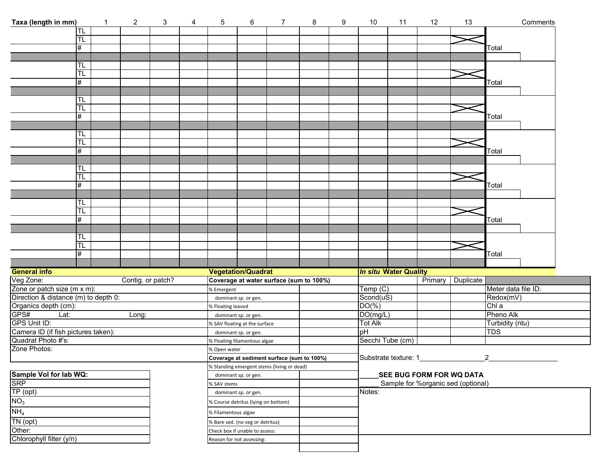| Taxa (length in mm)                                                                                                    | $\mathbf{1}$ | $\overline{a}$    | 3                   | 4 | 5                                   | 6                                                     | $\overline{7}$                             | 8 | 9 | 10                                    | 11 | 12      | 13                                 | Comments            |  |
|------------------------------------------------------------------------------------------------------------------------|--------------|-------------------|---------------------|---|-------------------------------------|-------------------------------------------------------|--------------------------------------------|---|---|---------------------------------------|----|---------|------------------------------------|---------------------|--|
| TL                                                                                                                     |              |                   |                     |   |                                     |                                                       |                                            |   |   |                                       |    |         |                                    |                     |  |
| TL                                                                                                                     |              |                   |                     |   |                                     |                                                       |                                            |   |   |                                       |    |         |                                    |                     |  |
| #                                                                                                                      |              |                   |                     |   |                                     |                                                       |                                            |   |   |                                       |    |         |                                    | Total               |  |
|                                                                                                                        |              |                   |                     |   |                                     |                                                       |                                            |   |   |                                       |    |         |                                    |                     |  |
| TL                                                                                                                     |              |                   |                     |   |                                     |                                                       |                                            |   |   |                                       |    |         |                                    |                     |  |
| TL                                                                                                                     |              |                   |                     |   |                                     |                                                       |                                            |   |   |                                       |    |         |                                    |                     |  |
| #                                                                                                                      |              |                   |                     |   |                                     |                                                       |                                            |   |   |                                       |    |         |                                    | Total               |  |
|                                                                                                                        |              |                   |                     |   |                                     |                                                       |                                            |   |   |                                       |    |         |                                    |                     |  |
| TL.                                                                                                                    |              |                   |                     |   |                                     |                                                       |                                            |   |   |                                       |    |         |                                    |                     |  |
| TL                                                                                                                     |              |                   |                     |   |                                     |                                                       |                                            |   |   |                                       |    |         |                                    |                     |  |
| #                                                                                                                      |              |                   |                     |   |                                     |                                                       |                                            |   |   |                                       |    |         |                                    | Total               |  |
|                                                                                                                        |              |                   |                     |   |                                     |                                                       |                                            |   |   |                                       |    |         |                                    |                     |  |
| TL<br>H                                                                                                                |              |                   |                     |   |                                     |                                                       |                                            |   |   |                                       |    |         |                                    |                     |  |
| #                                                                                                                      |              |                   |                     |   |                                     |                                                       |                                            |   |   |                                       |    |         |                                    | Total               |  |
|                                                                                                                        |              |                   |                     |   |                                     |                                                       |                                            |   |   |                                       |    |         |                                    |                     |  |
| H                                                                                                                      |              |                   |                     |   |                                     |                                                       |                                            |   |   |                                       |    |         |                                    |                     |  |
| H                                                                                                                      |              |                   |                     |   |                                     |                                                       |                                            |   |   |                                       |    |         |                                    |                     |  |
| #                                                                                                                      |              |                   |                     |   |                                     |                                                       |                                            |   |   |                                       |    |         |                                    | Total               |  |
|                                                                                                                        |              |                   |                     |   |                                     |                                                       |                                            |   |   |                                       |    |         |                                    |                     |  |
| TL                                                                                                                     |              |                   |                     |   |                                     |                                                       |                                            |   |   |                                       |    |         |                                    |                     |  |
| ΤL                                                                                                                     |              |                   |                     |   |                                     |                                                       |                                            |   |   |                                       |    |         |                                    |                     |  |
| #                                                                                                                      |              |                   |                     |   |                                     |                                                       |                                            |   |   |                                       |    |         |                                    | Total               |  |
|                                                                                                                        |              |                   |                     |   |                                     |                                                       |                                            |   |   |                                       |    |         |                                    |                     |  |
| TL                                                                                                                     |              |                   |                     |   |                                     |                                                       |                                            |   |   |                                       |    |         |                                    |                     |  |
| TL                                                                                                                     |              |                   |                     |   |                                     |                                                       |                                            |   |   |                                       |    |         |                                    |                     |  |
| #                                                                                                                      |              |                   |                     |   |                                     |                                                       |                                            |   |   |                                       |    |         |                                    | Total               |  |
|                                                                                                                        |              |                   |                     |   |                                     |                                                       |                                            |   |   |                                       |    |         |                                    |                     |  |
| <b>General info</b>                                                                                                    |              |                   |                     |   | <b>Vegetation/Quadrat</b>           |                                                       |                                            |   |   | <b>In situ Water Quality</b>          |    |         |                                    |                     |  |
| Veg Zone:<br>Zone or patch size (m x m):                                                                               |              | Contig. or patch? |                     |   |                                     |                                                       | Coverage at water surface (sum to 100%)    |   |   |                                       |    | Primary | Duplicate                          |                     |  |
|                                                                                                                        |              |                   |                     |   | % Emergent                          |                                                       |                                            |   |   | Temp (C)<br>Scond(uS)                 |    |         |                                    | Meter data file ID: |  |
| Direction & distance (m) to depth 0:                                                                                   |              |                   |                     |   | dominant sp. or gen.                |                                                       |                                            |   |   | $DO(\% )$                             |    |         |                                    | Redox(mV)<br>Chl a  |  |
| Organics depth (cm):                                                                                                   |              | Long:             |                     |   | % Floating leaved                   |                                                       |                                            |   |   | DO(mg/L)                              |    |         |                                    | Pheno Alk           |  |
|                                                                                                                        |              |                   |                     |   |                                     | dominant sp. or gen.<br>% SAV floating at the surface |                                            |   |   | <b>Tot Alk</b>                        |    |         |                                    | Turbidity (ntu)     |  |
|                                                                                                                        |              |                   |                     |   |                                     | dominant sp. or gen.                                  |                                            |   |   | pH                                    |    |         |                                    | TDS                 |  |
| Greater Lat:<br>GPS# Lat:<br>GPS Unit ID:<br>Camera ID (if fish pictures taken):<br>Quadrat Photo #'s:<br>Zone Photos: |              |                   |                     |   | % Floating filamentous algae        |                                                       |                                            |   |   | Secchi Tube (cm)                      |    |         |                                    |                     |  |
|                                                                                                                        |              |                   |                     |   | % Open water                        |                                                       |                                            |   |   |                                       |    |         |                                    |                     |  |
|                                                                                                                        |              |                   |                     |   |                                     |                                                       | Coverage at sediment surface (sum to 100%) |   |   | $\mathcal{P}$<br>Substrate texture: 1 |    |         |                                    |                     |  |
|                                                                                                                        |              |                   |                     |   |                                     |                                                       | % Standing emergent stems (living or dead) |   |   |                                       |    |         |                                    |                     |  |
|                                                                                                                        |              |                   |                     |   | dominant sp. or gen.                |                                                       |                                            |   |   |                                       |    |         | SEE BUG FORM FOR WQ DATA           |                     |  |
|                                                                                                                        |              |                   |                     |   | % SAV stems                         |                                                       |                                            |   |   |                                       |    |         | Sample for %organic sed (optional) |                     |  |
|                                                                                                                        |              |                   |                     |   | dominant sp. or gen.                |                                                       |                                            |   |   | Notes:                                |    |         |                                    |                     |  |
| Sample Vol for lab WQ:<br>SRP<br>TP (opt)<br>NO <sub>3</sub>                                                           |              |                   |                     |   | % Course detritus (lying on bottom) |                                                       |                                            |   |   |                                       |    |         |                                    |                     |  |
| NH <sub>4</sub>                                                                                                        |              |                   | % Filamentous algae |   |                                     |                                                       |                                            |   |   |                                       |    |         |                                    |                     |  |
| TN (opt)                                                                                                               |              |                   |                     |   | % Bare sed. (no veg or detritus)    |                                                       |                                            |   |   |                                       |    |         |                                    |                     |  |
| Other:                                                                                                                 |              |                   |                     |   | Check box if unable to assess:      |                                                       |                                            |   |   |                                       |    |         |                                    |                     |  |
| Chlorophyll filter (y/n)                                                                                               |              |                   |                     |   | Reason for not assessing:           |                                                       |                                            |   |   |                                       |    |         |                                    |                     |  |
|                                                                                                                        |              |                   |                     |   |                                     |                                                       |                                            |   |   |                                       |    |         |                                    |                     |  |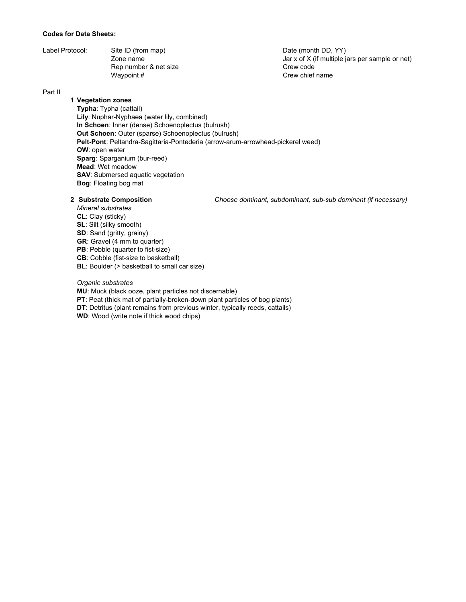### **Codes for Data Sheets:**

| Label Protocol: | Site ID (from map)    |
|-----------------|-----------------------|
|                 | Zone name             |
|                 | Rep number & net size |
|                 | Waypoint #            |

Date (month DD, YY) Jar  $x$  of  $X$  (if multiple jars per sample or net) Crew code Crew chief name

## Part II

# **1 Vegetation zones**

**Typha**: Typha (cattail) **Lily**: Nuphar-Nyphaea (water lily, combined) **In Schoen**: Inner (dense) Schoenoplectus (bulrush) **Out Schoen**: Outer (sparse) Schoenoplectus (bulrush) **Pelt-Pont**: Peltandra-Sagittaria-Pontederia (arrow-arum-arrowhead-pickerel weed) **OW**: open water **Sparg**: Sparganium (bur-reed) **Mead**: Wet meadow **SAV: Submersed aquatic vegetation Bog**: Floating bog mat

**2 Substrate Composition** *Choose dominant, subdominant, sub-sub dominant (if necessary)*

*Mineral substrates* **CL**: Clay (sticky) **SL**: Silt (silky smooth) **SD**: Sand (gritty, grainy) **GR**: Gravel (4 mm to quarter) **PB**: Pebble (quarter to fist-size) **CB**: Cobble (fist-size to basketball) **BL**: Boulder (> basketball to small car size)

### *Organic substrates*

**MU**: Muck (black ooze, plant particles not discernable)

**PT**: Peat (thick mat of partially-broken-down plant particles of bog plants)

**DT**: Detritus (plant remains from previous winter, typically reeds, cattails)

**WD**: Wood (write note if thick wood chips)